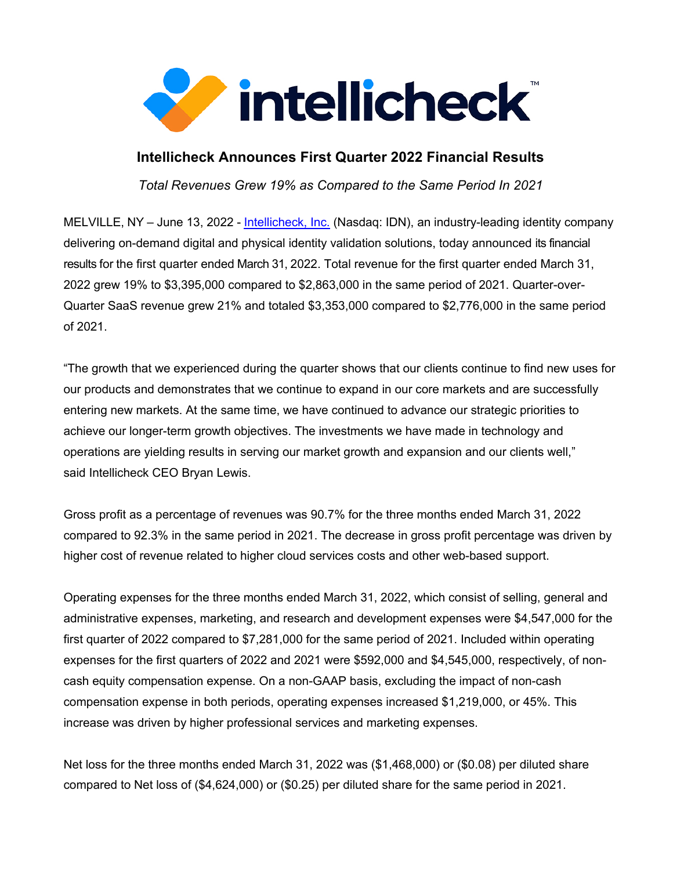

# **Intellicheck Announces First Quarter 2022 Financial Results**

*Total Revenues Grew 19% as Compared to the Same Period In 2021*

MELVILLE, NY – June 13, 2022 - Intellicheck, Inc. (Nasdaq: IDN), an industry-leading identity company delivering on-demand digital and physical identity validation solutions, today announced its financial results for the first quarter ended March 31, 2022. Total revenue for the first quarter ended March 31, 2022 grew 19% to \$3,395,000 compared to \$2,863,000 in the same period of 2021. Quarter-over-Quarter SaaS revenue grew 21% and totaled \$3,353,000 compared to \$2,776,000 in the same period of 2021.

"The growth that we experienced during the quarter shows that our clients continue to find new uses for our products and demonstrates that we continue to expand in our core markets and are successfully entering new markets. At the same time, we have continued to advance our strategic priorities to achieve our longer-term growth objectives. The investments we have made in technology and operations are yielding results in serving our market growth and expansion and our clients well," said Intellicheck CEO Bryan Lewis.

Gross profit as a percentage of revenues was 90.7% for the three months ended March 31, 2022 compared to 92.3% in the same period in 2021. The decrease in gross profit percentage was driven by higher cost of revenue related to higher cloud services costs and other web-based support.

Operating expenses for the three months ended March 31, 2022, which consist of selling, general and administrative expenses, marketing, and research and development expenses were \$4,547,000 for the first quarter of 2022 compared to \$7,281,000 for the same period of 2021. Included within operating expenses for the first quarters of 2022 and 2021 were \$592,000 and \$4,545,000, respectively, of noncash equity compensation expense. On a non-GAAP basis, excluding the impact of non-cash compensation expense in both periods, operating expenses increased \$1,219,000, or 45%. This increase was driven by higher professional services and marketing expenses.

Net loss for the three months ended March 31, 2022 was (\$1,468,000) or (\$0.08) per diluted share compared to Net loss of (\$4,624,000) or (\$0.25) per diluted share for the same period in 2021.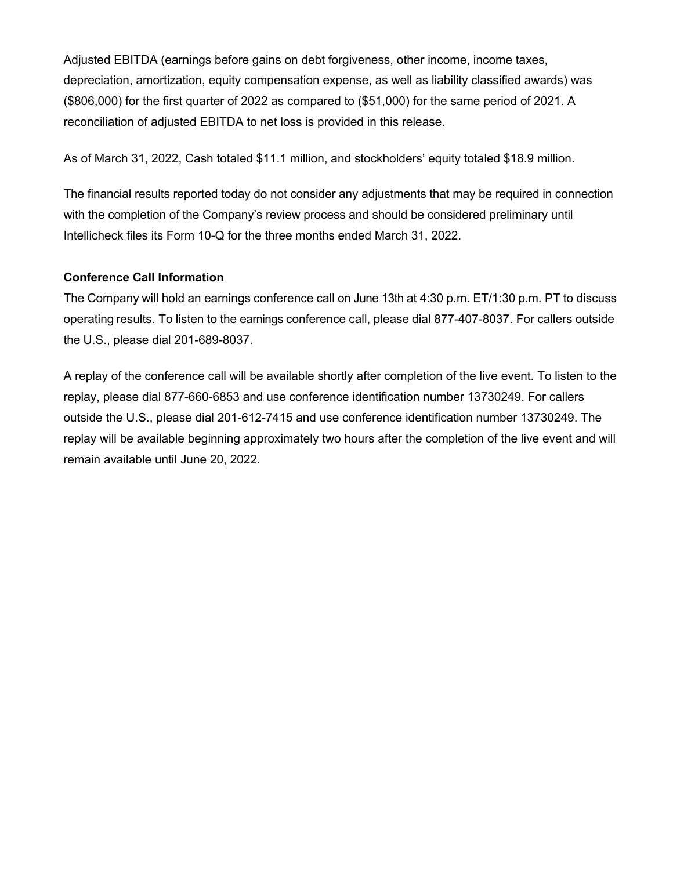Adjusted EBITDA (earnings before gains on debt forgiveness, other income, income taxes, depreciation, amortization, equity compensation expense, as well as liability classified awards) was (\$806,000) for the first quarter of 2022 as compared to (\$51,000) for the same period of 2021. A reconciliation of adjusted EBITDA to net loss is provided in this release.

As of March 31, 2022, Cash totaled \$11.1 million, and stockholders' equity totaled \$18.9 million.

The financial results reported today do not consider any adjustments that may be required in connection with the completion of the Company's review process and should be considered preliminary until Intellicheck files its Form 10-Q for the three months ended March 31, 2022.

### **Conference Call Information**

The Company will hold an earnings conference call on June 13th at 4:30 p.m. ET/1:30 p.m. PT to discuss operating results. To listen to the earnings conference call, please dial 877-407-8037. For callers outside the U.S., please dial 201-689-8037.

A replay of the conference call will be available shortly after completion of the live event. To listen to the replay, please dial 877-660-6853 and use conference identification number 13730249. For callers outside the U.S., please dial 201-612-7415 and use conference identification number 13730249. The replay will be available beginning approximately two hours after the completion of the live event and will remain available until June 20, 2022.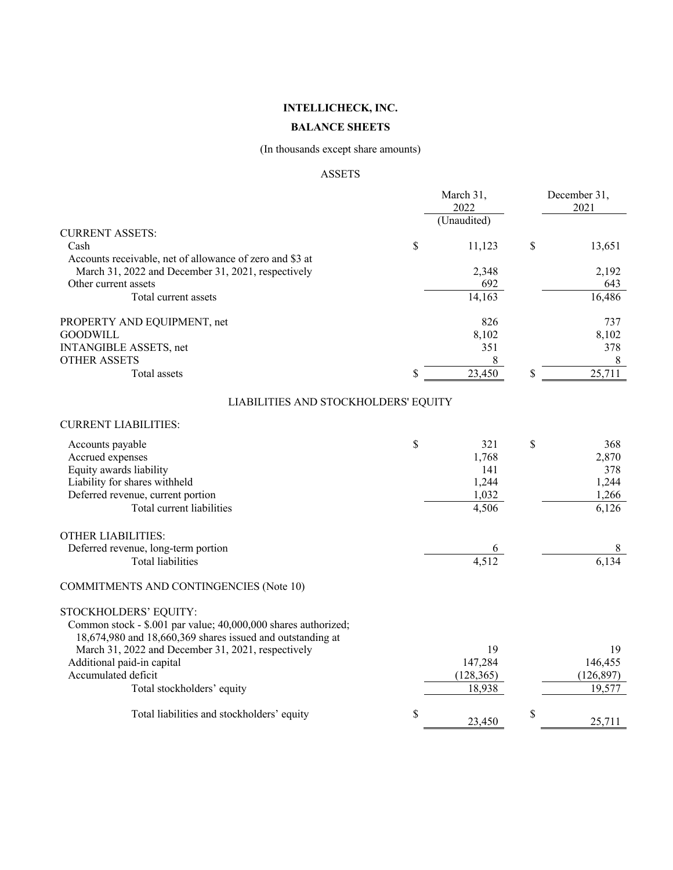### **BALANCE SHEETS**

# (In thousands except share amounts)

### ASSETS

|                                                                                                                                                                                                                                           | March 31,<br>2022                                    | December 31,<br>2021                                 |
|-------------------------------------------------------------------------------------------------------------------------------------------------------------------------------------------------------------------------------------------|------------------------------------------------------|------------------------------------------------------|
|                                                                                                                                                                                                                                           | (Unaudited)                                          |                                                      |
| <b>CURRENT ASSETS:</b><br>Cash                                                                                                                                                                                                            | \$<br>11,123                                         | \$<br>13,651                                         |
| Accounts receivable, net of allowance of zero and \$3 at<br>March 31, 2022 and December 31, 2021, respectively<br>Other current assets                                                                                                    | 2,348<br>692                                         | 2,192<br>643                                         |
| Total current assets                                                                                                                                                                                                                      | 14,163                                               | 16,486                                               |
| PROPERTY AND EQUIPMENT, net<br><b>GOODWILL</b><br><b>INTANGIBLE ASSETS, net</b>                                                                                                                                                           | 826<br>8,102<br>351                                  | 737<br>8,102<br>378                                  |
| <b>OTHER ASSETS</b><br><b>Total</b> assets                                                                                                                                                                                                | \$<br>8<br>23,450                                    | \$<br>$\,8\,$<br>25,711                              |
| LIABILITIES AND STOCKHOLDERS' EQUITY                                                                                                                                                                                                      |                                                      |                                                      |
| <b>CURRENT LIABILITIES:</b>                                                                                                                                                                                                               |                                                      |                                                      |
| Accounts payable<br>Accrued expenses<br>Equity awards liability<br>Liability for shares withheld<br>Deferred revenue, current portion<br>Total current liabilities                                                                        | \$<br>321<br>1,768<br>141<br>1,244<br>1,032<br>4,506 | \$<br>368<br>2,870<br>378<br>1,244<br>1,266<br>6,126 |
| <b>OTHER LIABILITIES:</b><br>Deferred revenue, long-term portion<br><b>Total liabilities</b>                                                                                                                                              | 4,512                                                | 8<br>6,134                                           |
| <b>COMMITMENTS AND CONTINGENCIES (Note 10)</b>                                                                                                                                                                                            |                                                      |                                                      |
| STOCKHOLDERS' EQUITY:<br>Common stock - \$.001 par value; 40,000,000 shares authorized;<br>18,674,980 and 18,660,369 shares issued and outstanding at<br>March 31, 2022 and December 31, 2021, respectively<br>Additional paid-in capital | 19<br>147,284                                        | 19<br>146,455                                        |
| Accumulated deficit<br>Total stockholders' equity                                                                                                                                                                                         | (128, 365)<br>18,938                                 | (126, 897)<br>19,577                                 |
| Total liabilities and stockholders' equity                                                                                                                                                                                                | \$<br>23,450                                         | \$<br>25,711                                         |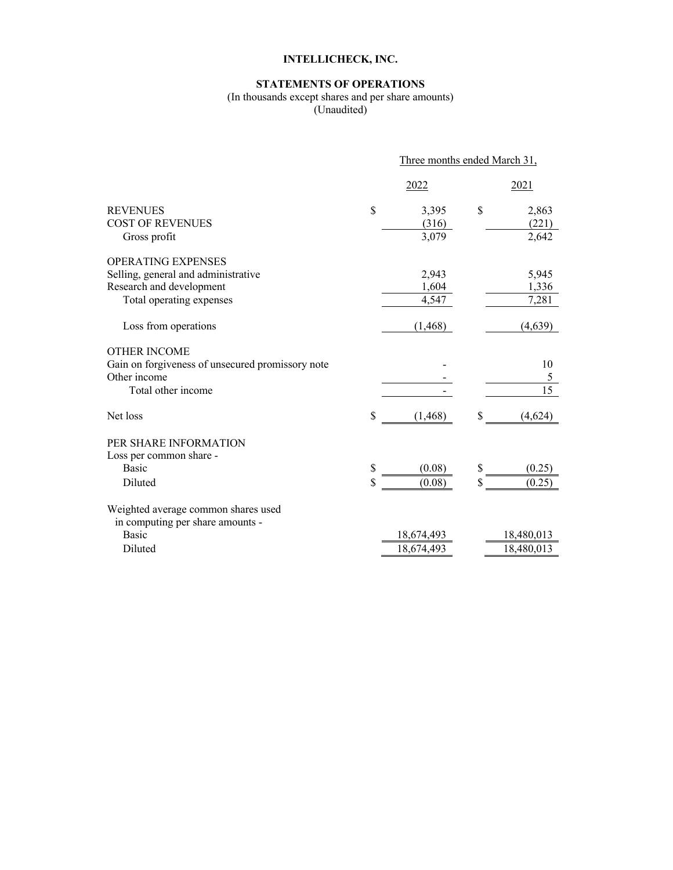# **STATEMENTS OF OPERATIONS**

# (In thousands except shares and per share amounts)

(Unaudited)

|                                                                         | Three months ended March 31, |            |    |                 |  |  |  |
|-------------------------------------------------------------------------|------------------------------|------------|----|-----------------|--|--|--|
|                                                                         |                              | 2022       |    | 2021            |  |  |  |
| <b>REVENUES</b>                                                         | \$                           | 3,395      | \$ | 2,863           |  |  |  |
| <b>COST OF REVENUES</b>                                                 |                              | (316)      |    | (221)           |  |  |  |
| Gross profit                                                            |                              | 3,079      |    | 2,642           |  |  |  |
| OPERATING EXPENSES                                                      |                              |            |    |                 |  |  |  |
| Selling, general and administrative                                     |                              | 2,943      |    | 5,945           |  |  |  |
| Research and development                                                |                              | 1,604      |    | 1,336           |  |  |  |
| Total operating expenses                                                |                              | 4,547      |    | 7,281           |  |  |  |
| Loss from operations                                                    |                              | (1, 468)   |    | (4,639)         |  |  |  |
| <b>OTHER INCOME</b>                                                     |                              |            |    |                 |  |  |  |
| Gain on forgiveness of unsecured promissory note                        |                              |            |    | 10              |  |  |  |
| Other income                                                            |                              |            |    | 5               |  |  |  |
| Total other income                                                      |                              |            |    | $\overline{15}$ |  |  |  |
| Net loss                                                                | \$                           | (1, 468)   | \$ | (4,624)         |  |  |  |
| PER SHARE INFORMATION                                                   |                              |            |    |                 |  |  |  |
| Loss per common share -                                                 |                              |            |    |                 |  |  |  |
| <b>Basic</b>                                                            | \$                           | (0.08)     | \$ | (0.25)          |  |  |  |
| Diluted                                                                 | \$                           | (0.08)     | \$ | (0.25)          |  |  |  |
| Weighted average common shares used<br>in computing per share amounts - |                              |            |    |                 |  |  |  |
| <b>Basic</b>                                                            |                              | 18,674,493 |    | 18,480,013      |  |  |  |
| Diluted                                                                 |                              | 18,674,493 |    | 18,480,013      |  |  |  |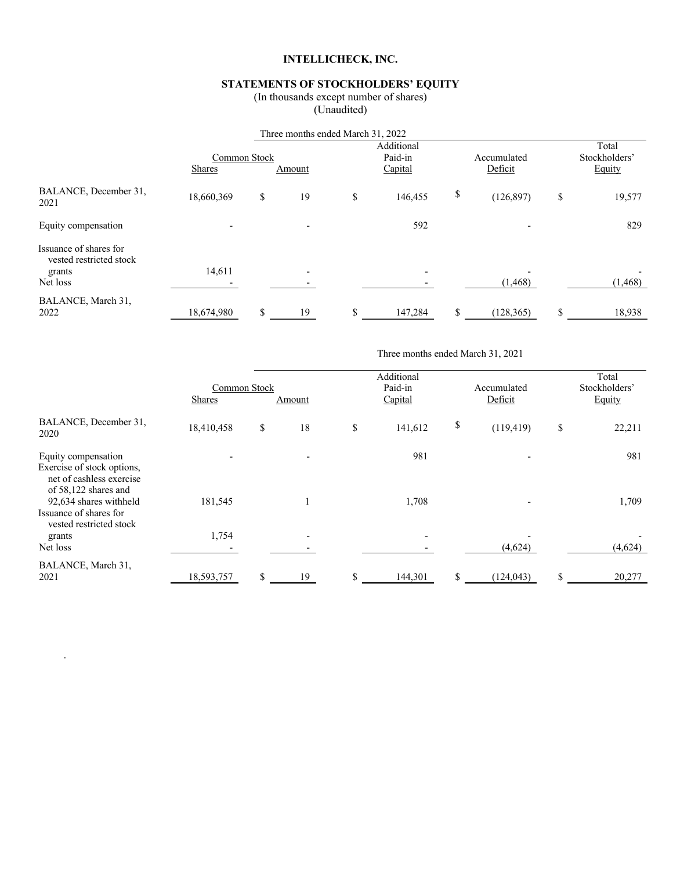# **STATEMENTS OF STOCKHOLDERS' EQUITY**

(In thousands except number of shares)

(Unaudited)

|                                                             |               |                        | Three months ended March 31, 2022 |                                                            |         |    |            |    |          |  |                                  |
|-------------------------------------------------------------|---------------|------------------------|-----------------------------------|------------------------------------------------------------|---------|----|------------|----|----------|--|----------------------------------|
|                                                             | <b>Shares</b> | Common Stock<br>Amount |                                   | Additional<br>Paid-in<br>Accumulated<br>Deficit<br>Capital |         |    |            |    |          |  | Total<br>Stockholders'<br>Equity |
| BALANCE, December 31,<br>2021                               | 18,660,369    | \$                     | 19                                | \$                                                         | 146,455 | \$ | (126, 897) | \$ | 19,577   |  |                                  |
| Equity compensation                                         |               |                        |                                   |                                                            | 592     |    |            |    | 829      |  |                                  |
| Issuance of shares for<br>vested restricted stock<br>grants | 14,611        |                        | $\overline{\phantom{0}}$          |                                                            |         |    |            |    |          |  |                                  |
| Net loss                                                    |               |                        |                                   |                                                            |         |    | (1, 468)   |    | (1, 468) |  |                                  |
| BALANCE, March 31,<br>2022                                  | 18,674,980    | \$                     | 19                                | J.                                                         | 147,284 |    | (128, 365) | \$ | 18,938   |  |                                  |

Three months ended March 31, 2021

|                                                                                                       | Common Stock<br><b>Shares</b> | Amount                   | Additional<br>Paid-in<br>Capital | Accumulated<br>Deficit | Total<br>Stockholders'<br>Equity |
|-------------------------------------------------------------------------------------------------------|-------------------------------|--------------------------|----------------------------------|------------------------|----------------------------------|
| BALANCE, December 31,<br>2020                                                                         | 18,410,458                    | \$<br>18                 | \$<br>141,612                    | \$<br>(119, 419)       | \$<br>22,211                     |
| Equity compensation<br>Exercise of stock options,<br>net of cashless exercise<br>of 58,122 shares and |                               |                          | 981                              |                        | 981                              |
| 92,634 shares withheld<br>Issuance of shares for<br>vested restricted stock                           | 181,545                       |                          | 1,708                            |                        | 1,709                            |
| grants<br>Net loss                                                                                    | 1,754                         | $\overline{\phantom{a}}$ |                                  | (4,624)                | (4,624)                          |
| BALANCE, March 31,<br>2021                                                                            | 18,593,757                    | \$<br>19                 | \$<br>144.301                    | \$<br>(124, 043)       | \$<br>20,277                     |

.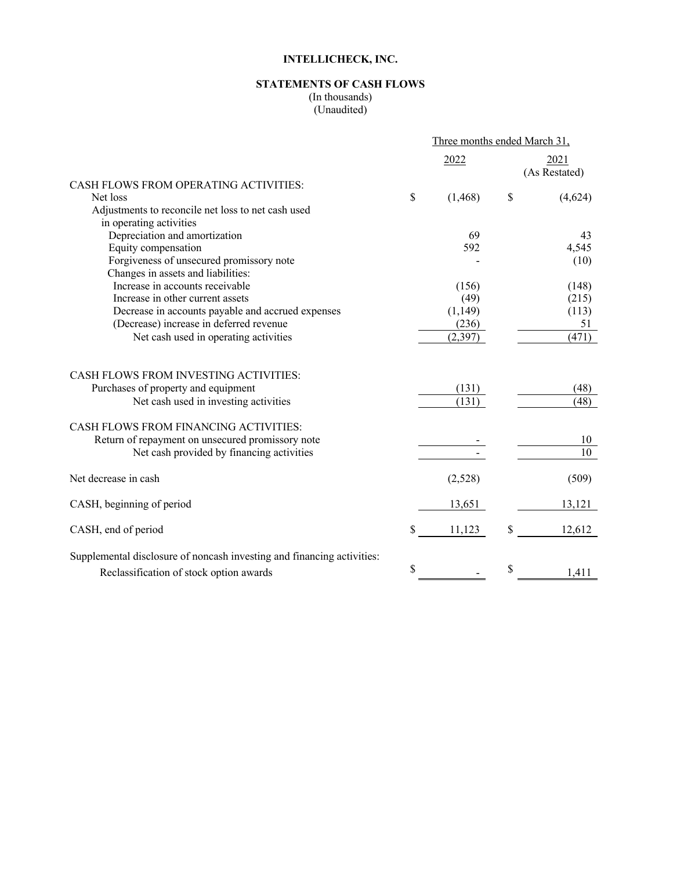# **STATEMENTS OF CASH FLOWS**

(In thousands)  $\overline{($  Unaudited $\overline{)}$ 

|                                                                               | Three months ended March 31, |    |                       |  |
|-------------------------------------------------------------------------------|------------------------------|----|-----------------------|--|
|                                                                               | 2022                         |    | 2021<br>(As Restated) |  |
| CASH FLOWS FROM OPERATING ACTIVITIES:                                         |                              |    |                       |  |
| Net loss                                                                      | \$<br>(1, 468)               | \$ | (4,624)               |  |
| Adjustments to reconcile net loss to net cash used<br>in operating activities |                              |    |                       |  |
| Depreciation and amortization                                                 | 69                           |    | 43                    |  |
| Equity compensation                                                           | 592                          |    | 4,545                 |  |
| Forgiveness of unsecured promissory note                                      |                              |    | (10)                  |  |
| Changes in assets and liabilities:                                            |                              |    |                       |  |
| Increase in accounts receivable                                               | (156)                        |    | (148)                 |  |
| Increase in other current assets                                              | (49)                         |    | (215)                 |  |
| Decrease in accounts payable and accrued expenses                             | (1,149)                      |    | (113)                 |  |
| (Decrease) increase in deferred revenue                                       | (236)                        |    | 51                    |  |
| Net cash used in operating activities                                         | (2, 397)                     |    | (471)                 |  |
| CASH FLOWS FROM INVESTING ACTIVITIES:                                         |                              |    |                       |  |
| Purchases of property and equipment                                           | (131)                        |    | (48)                  |  |
| Net cash used in investing activities                                         | (131)                        |    | (48)                  |  |
| <b>CASH FLOWS FROM FINANCING ACTIVITIES:</b>                                  |                              |    |                       |  |
| Return of repayment on unsecured promissory note                              |                              |    | 10                    |  |
| Net cash provided by financing activities                                     |                              |    | 10                    |  |
| Net decrease in cash                                                          | (2,528)                      |    | (509)                 |  |
| CASH, beginning of period                                                     | 13,651                       |    | 13,121                |  |
| CASH, end of period                                                           | \$<br>11,123                 | \$ | 12,612                |  |
| Supplemental disclosure of noncash investing and financing activities:        |                              |    |                       |  |
| Reclassification of stock option awards                                       | \$                           | \$ | 1,411                 |  |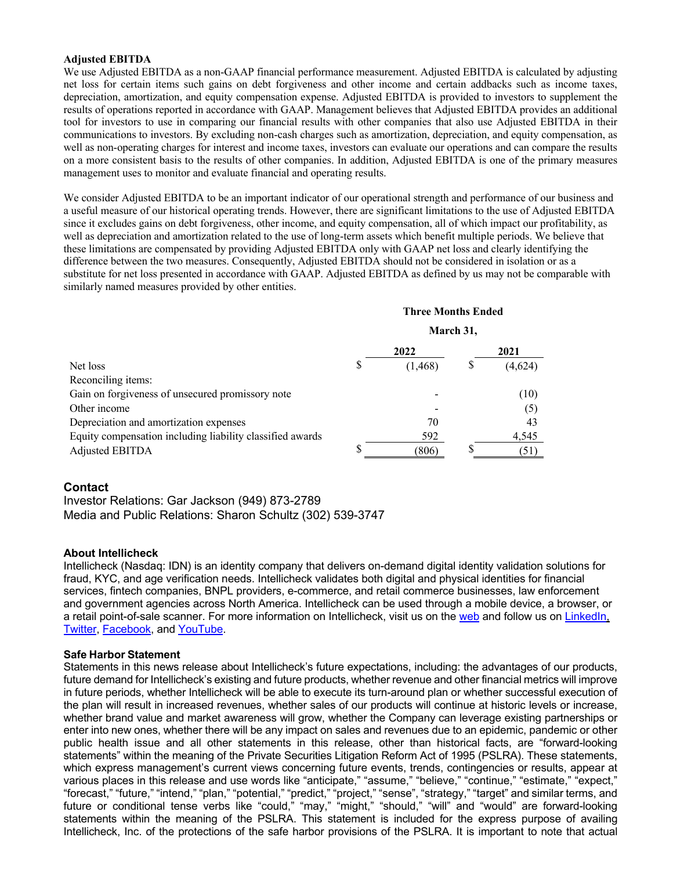#### **Adjusted EBITDA**

We use Adjusted EBITDA as a non-GAAP financial performance measurement. Adjusted EBITDA is calculated by adjusting net loss for certain items such gains on debt forgiveness and other income and certain addbacks such as income taxes, depreciation, amortization, and equity compensation expense. Adjusted EBITDA is provided to investors to supplement the results of operations reported in accordance with GAAP. Management believes that Adjusted EBITDA provides an additional tool for investors to use in comparing our financial results with other companies that also use Adjusted EBITDA in their communications to investors. By excluding non-cash charges such as amortization, depreciation, and equity compensation, as well as non-operating charges for interest and income taxes, investors can evaluate our operations and can compare the results on a more consistent basis to the results of other companies. In addition, Adjusted EBITDA is one of the primary measures management uses to monitor and evaluate financial and operating results.

We consider Adjusted EBITDA to be an important indicator of our operational strength and performance of our business and a useful measure of our historical operating trends. However, there are significant limitations to the use of Adjusted EBITDA since it excludes gains on debt forgiveness, other income, and equity compensation, all of which impact our profitability, as well as depreciation and amortization related to the use of long-term assets which benefit multiple periods. We believe that these limitations are compensated by providing Adjusted EBITDA only with GAAP net loss and clearly identifying the difference between the two measures. Consequently, Adjusted EBITDA should not be considered in isolation or as a substitute for net loss presented in accordance with GAAP. Adjusted EBITDA as defined by us may not be comparable with similarly named measures provided by other entities.

#### **Three Months Ended**

**March 31,**

|                                                           | 2022     | 2021 |         |  |
|-----------------------------------------------------------|----------|------|---------|--|
| Net loss                                                  | (1, 468) |      | (4,624) |  |
| Reconciling items:                                        |          |      |         |  |
| Gain on forgiveness of unsecured promissory note          |          |      | (10)    |  |
| Other income                                              |          |      | (5)     |  |
| Depreciation and amortization expenses                    | 70       |      | 43      |  |
| Equity compensation including liability classified awards | 592      |      | 4,545   |  |
| Adjusted EBITDA                                           | 806      |      | 51      |  |

### **Contact**

Investor Relations: Gar Jackson (949) 873-2789 Media and Public Relations: Sharon Schultz (302) 539-3747

#### **About Intellicheck**

Intellicheck (Nasdaq: IDN) is an identity company that delivers on-demand digital identity validation solutions for fraud, KYC, and age verification needs. Intellicheck validates both digital and physical identities for financial services, fintech companies, BNPL providers, e-commerce, and retail commerce businesses, law enforcement and government agencies across North America. Intellicheck can be used through a mobile device, a browser, or a retail point-of-sale scanner. For more information on Intellicheck, visit us on the web and follow us on LinkedIn, Twitter, Facebook, and YouTube.

#### **Safe Harbor Statement**

Statements in this news release about Intellicheck's future expectations, including: the advantages of our products, future demand for Intellicheck's existing and future products, whether revenue and other financial metrics will improve in future periods, whether Intellicheck will be able to execute its turn-around plan or whether successful execution of the plan will result in increased revenues, whether sales of our products will continue at historic levels or increase, whether brand value and market awareness will grow, whether the Company can leverage existing partnerships or enter into new ones, whether there will be any impact on sales and revenues due to an epidemic, pandemic or other public health issue and all other statements in this release, other than historical facts, are "forward-looking statements" within the meaning of the Private Securities Litigation Reform Act of 1995 (PSLRA). These statements, which express management's current views concerning future events, trends, contingencies or results, appear at various places in this release and use words like "anticipate," "assume," "believe," "continue," "estimate," "expect," "forecast," "future," "intend," "plan," "potential," "predict," "project," "sense", "strategy," "target" and similar terms, and future or conditional tense verbs like "could," "may," "might," "should," "will" and "would" are forward-looking statements within the meaning of the PSLRA. This statement is included for the express purpose of availing Intellicheck, Inc. of the protections of the safe harbor provisions of the PSLRA. It is important to note that actual